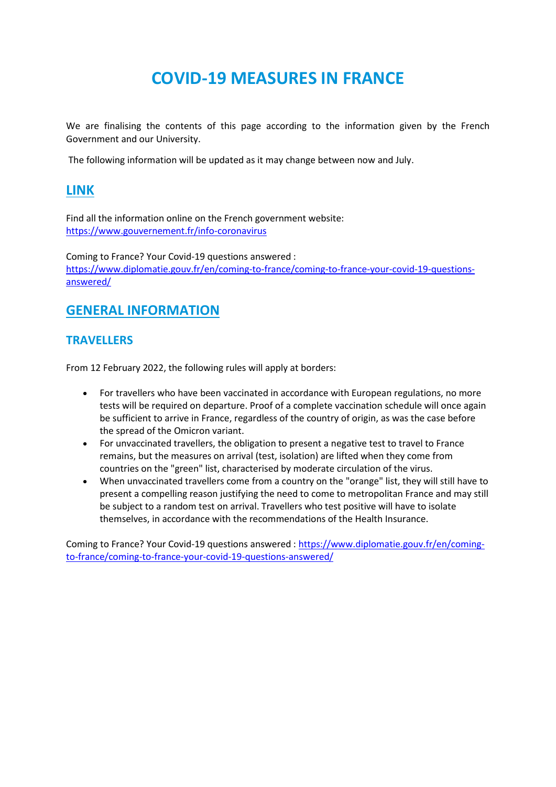# **COVID-19 MEASURES IN FRANCE**

We are finalising the contents of this page according to the information given by the French Government and our University.

The following information will be updated as it may change between now and July.

### **LINK**

Find all the information online on the French government website: <https://www.gouvernement.fr/info-coronavirus>

Coming to France? Your Covid-19 questions answered : [https://www.diplomatie.gouv.fr/en/coming-to-france/coming-to-france-your-covid-19-questions](https://www.diplomatie.gouv.fr/en/coming-to-france/coming-to-france-your-covid-19-questions-answered/)[answered/](https://www.diplomatie.gouv.fr/en/coming-to-france/coming-to-france-your-covid-19-questions-answered/)

## **GENERAL INFORMATION**

#### **TRAVELLERS**

From 12 February 2022, the following rules will apply at borders:

- For travellers who have been vaccinated in accordance with European regulations, no more tests will be required on departure. Proof of a complete vaccination schedule will once again be sufficient to arrive in France, regardless of the country of origin, as was the case before the spread of the Omicron variant.
- For unvaccinated travellers, the obligation to present a negative test to travel to France remains, but the measures on arrival (test, isolation) are lifted when they come from countries on the "green" list, characterised by moderate circulation of the virus.
- When unvaccinated travellers come from a country on the "orange" list, they will still have to present a compelling reason justifying the need to come to metropolitan France and may still be subject to a random test on arrival. Travellers who test positive will have to isolate themselves, in accordance with the recommendations of the Health Insurance.

Coming to France? Your Covid-19 questions answered [: https://www.diplomatie.gouv.fr/en/coming](https://www.diplomatie.gouv.fr/en/coming-to-france/coming-to-france-your-covid-19-questions-answered/)[to-france/coming-to-france-your-covid-19-questions-answered/](https://www.diplomatie.gouv.fr/en/coming-to-france/coming-to-france-your-covid-19-questions-answered/)